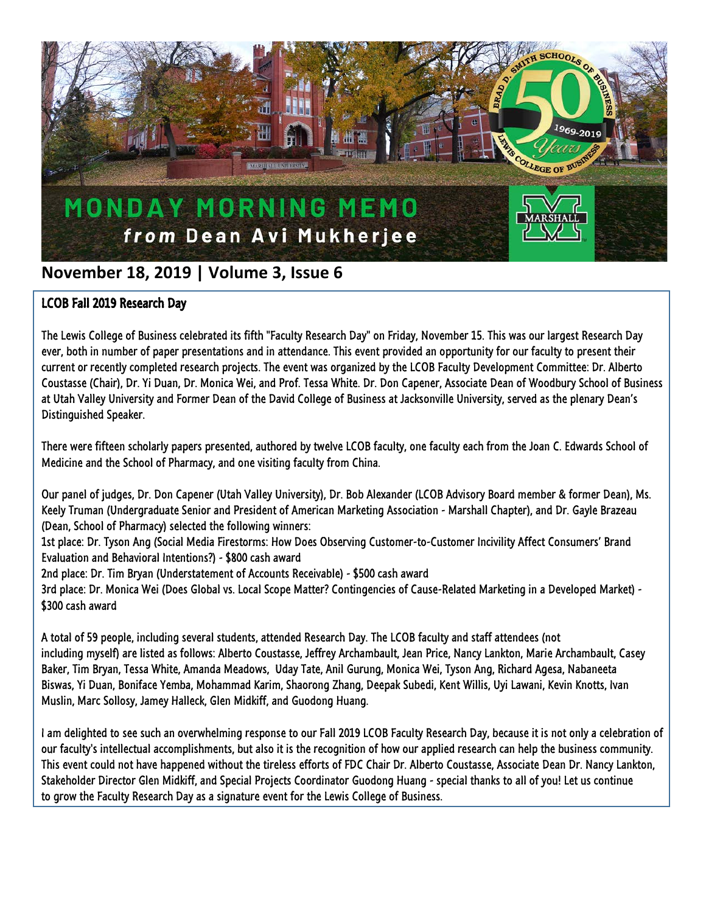

## **November 18, 2019 | Volume 3, Issue 6**

## LCOB Fall 2019 Research Day

The Lewis College of Business celebrated its fifth "Faculty Research Day" on Friday, November 15. This was our largest Research Day ever, both in number of paper presentations and in attendance. This event provided an opportunity for our faculty to present their current or recently completed research projects. The event was organized by the LCOB Faculty Development Committee: Dr. Alberto Coustasse (Chair), Dr. Yi Duan, Dr. Monica Wei, and Prof. Tessa White. Dr. Don Capener, Associate Dean of Woodbury School of Business at Utah Valley University and Former Dean of the David College of Business at Jacksonville University, served as the plenary Dean's Distinguished Speaker.

There were fifteen scholarly papers presented, authored by twelve LCOB faculty, one faculty each from the Joan C. Edwards School of Medicine and the School of Pharmacy, and one visiting faculty from China.

Our panel of judges, Dr. Don Capener (Utah Valley University), Dr. Bob Alexander (LCOB Advisory Board member & former Dean), Ms. Keely Truman (Undergraduate Senior and President of American Marketing Association - Marshall Chapter), and Dr. Gayle Brazeau (Dean, School of Pharmacy) selected the following winners:

1st place: Dr. Tyson Ang (Social Media Firestorms: How Does Observing Customer-to-Customer Incivility Affect Consumers' Brand Evaluation and Behavioral Intentions?) - \$800 cash award

2nd place: Dr. Tim Bryan (Understatement of Accounts Receivable) - \$500 cash award

3rd place: Dr. Monica Wei (Does Global vs. Local Scope Matter? Contingencies of Cause-Related Marketing in a Developed Market) - \$300 cash award

A total of 59 people, including several students, attended Research Day. The LCOB faculty and staff attendees (not including myself) are listed as follows: Alberto Coustasse, Jeffrey Archambault, Jean Price, Nancy Lankton, Marie Archambault, Casey Baker, Tim Bryan, Tessa White, Amanda Meadows, Uday Tate, Anil Gurung, Monica Wei, Tyson Ang, Richard Agesa, Nabaneeta Biswas, Yi Duan, Boniface Yemba, Mohammad Karim, Shaorong Zhang, Deepak Subedi, Kent Willis, Uyi Lawani, Kevin Knotts, Ivan Muslin, Marc Sollosy, Jamey Halleck, Glen Midkiff, and Guodong Huang.

I am delighted to see such an overwhelming response to our Fall 2019 LCOB Faculty Research Day, because it is not only a celebration of our faculty's intellectual accomplishments, but also it is the recognition of how our applied research can help the business community. This event could not have happened without the tireless efforts of FDC Chair Dr. Alberto Coustasse, Associate Dean Dr. Nancy Lankton, Stakeholder Director Glen Midkiff, and Special Projects Coordinator Guodong Huang - special thanks to all of you! Let us continue to grow the Faculty Research Day as a signature event for the Lewis College of Business.